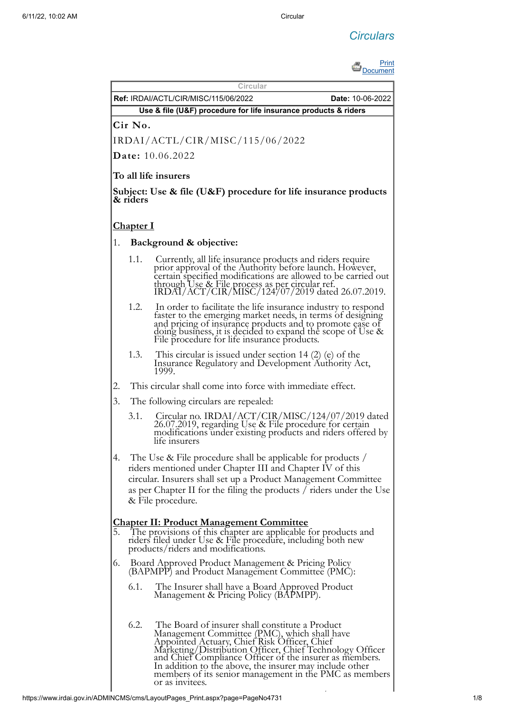# *Circulars*



|                                                                 |                                                                                                                                                                                                                                                                                         | Circular<br><b>Ref: IRDAI/ACTL/CIR/MISC/115/06/2022</b><br><b>Date: 10-06-2022</b>                                                                                                                                                                                                                                                                                                                             |  |  |  |  |  |
|-----------------------------------------------------------------|-----------------------------------------------------------------------------------------------------------------------------------------------------------------------------------------------------------------------------------------------------------------------------------------|----------------------------------------------------------------------------------------------------------------------------------------------------------------------------------------------------------------------------------------------------------------------------------------------------------------------------------------------------------------------------------------------------------------|--|--|--|--|--|
| Use & file (U&F) procedure for life insurance products & riders |                                                                                                                                                                                                                                                                                         |                                                                                                                                                                                                                                                                                                                                                                                                                |  |  |  |  |  |
|                                                                 | Cir No.                                                                                                                                                                                                                                                                                 |                                                                                                                                                                                                                                                                                                                                                                                                                |  |  |  |  |  |
|                                                                 |                                                                                                                                                                                                                                                                                         | IRDAI/ACTL/CIR/MISC/115/06/2022                                                                                                                                                                                                                                                                                                                                                                                |  |  |  |  |  |
|                                                                 |                                                                                                                                                                                                                                                                                         | <b>Date:</b> 10.06.2022                                                                                                                                                                                                                                                                                                                                                                                        |  |  |  |  |  |
|                                                                 |                                                                                                                                                                                                                                                                                         | To all life insurers                                                                                                                                                                                                                                                                                                                                                                                           |  |  |  |  |  |
|                                                                 |                                                                                                                                                                                                                                                                                         |                                                                                                                                                                                                                                                                                                                                                                                                                |  |  |  |  |  |
|                                                                 | & riders                                                                                                                                                                                                                                                                                | Subject: Use $\&$ file (U&F) procedure for life insurance products                                                                                                                                                                                                                                                                                                                                             |  |  |  |  |  |
|                                                                 | <b>Chapter I</b>                                                                                                                                                                                                                                                                        |                                                                                                                                                                                                                                                                                                                                                                                                                |  |  |  |  |  |
| 1.                                                              |                                                                                                                                                                                                                                                                                         | Background & objective:                                                                                                                                                                                                                                                                                                                                                                                        |  |  |  |  |  |
|                                                                 | 1.1.                                                                                                                                                                                                                                                                                    | Currently, all life insurance products and riders require<br>prior approval of the Authority before launch. However,<br>certain specified modifications are allowed to be carried out<br>through Use & File process as per circular ref.<br>IRDAI/ACT/CIR/MISC/124/07/2019 dated 26.07.2019.                                                                                                                   |  |  |  |  |  |
|                                                                 | 1.2.                                                                                                                                                                                                                                                                                    | In order to facilitate the life insurance industry to respond<br>faster to the emerging market needs, in terms of designing<br>and pricing of insurance products and to promote ease of<br>doing business, it is decided to expand the scope of Use &<br>File procedure for life insurance products.                                                                                                           |  |  |  |  |  |
|                                                                 | 1.3.                                                                                                                                                                                                                                                                                    | This circular is issued under section 14 $(2)$ (e) of the<br>Insurance Regulatory and Development Authority Act,<br>1999.                                                                                                                                                                                                                                                                                      |  |  |  |  |  |
| 2.                                                              |                                                                                                                                                                                                                                                                                         | This circular shall come into force with immediate effect.                                                                                                                                                                                                                                                                                                                                                     |  |  |  |  |  |
| 3.                                                              |                                                                                                                                                                                                                                                                                         | The following circulars are repealed:                                                                                                                                                                                                                                                                                                                                                                          |  |  |  |  |  |
|                                                                 | 3.1.                                                                                                                                                                                                                                                                                    | Circular no. IRDAI/ACT/CIR/MISC/124/07/2019 dated<br>26.07.2019, regarding Use & File procedure for certain<br>modifications under existing products and riders offered by<br>life insurers                                                                                                                                                                                                                    |  |  |  |  |  |
| 4.                                                              | The Use & File procedure shall be applicable for products /<br>riders mentioned under Chapter III and Chapter IV of this<br>circular. Insurers shall set up a Product Management Committee<br>as per Chapter II for the filing the products / riders under the Use<br>& File procedure. |                                                                                                                                                                                                                                                                                                                                                                                                                |  |  |  |  |  |
| 5.                                                              |                                                                                                                                                                                                                                                                                         | <b>Chapter II: Product Management Committee</b><br>The provisions of this chapter are applicable for products and<br>riders filed under Use & File procedure, including both new<br>products/riders and modifications.                                                                                                                                                                                         |  |  |  |  |  |
| 6.                                                              | Board Approved Product Management & Pricing Policy<br>(BAPMPP) and Product Management Committee (PMC):                                                                                                                                                                                  |                                                                                                                                                                                                                                                                                                                                                                                                                |  |  |  |  |  |
|                                                                 | 6.1.                                                                                                                                                                                                                                                                                    | The Insurer shall have a Board Approved Product<br>Management & Pricing Policy (BAPMPP).                                                                                                                                                                                                                                                                                                                       |  |  |  |  |  |
|                                                                 | 6.2.                                                                                                                                                                                                                                                                                    | The Board of insurer shall constitute a Product<br>Management Committee (PMC), which shall have<br>Appointed Actuary, Chief Risk Officer, Chief<br>Marketing/Distribution Officer, Chief Technology Officer<br>and Chief Compliance Officer of the insurer as members.<br>In addition to the above, the insurer may include other<br>members of its senior management in the PMC as members<br>or as invitees. |  |  |  |  |  |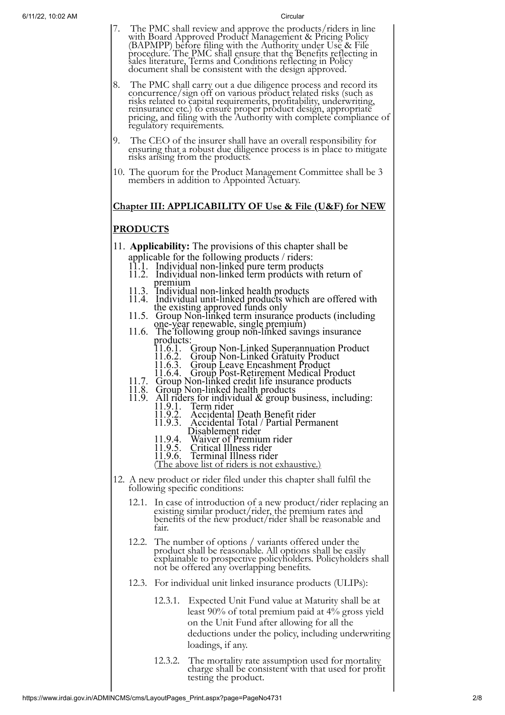- 7. The PMC shall review and approve the products/riders in line with Board Approved Product Management & Pricing Policy (BAPMPP) before filing with the Authority under Use & File procedure. The PMC shall ensure that the Benefits reflecting in sales literature, Terms and Conditions reflecting in Policy document shall be consistent with the design approved.
- 8. The PMC shall carry out a due diligence process and record its concurrence/sign off on various product related risks (such as risks related to capital requirements, profitability, underwriting, reinsurance etc.) to ensure proper product design, appropriate pricing, and filing with the Authority with complete compliance of regulatory requirements.
- 9. The CEO of the insurer shall have an overall responsibility for ensuring that a robust due diligence process is in place to mitigate risks arising from the products.
- 10. The quorum for the Product Management Committee shall be 3 members in addition to Appointed Actuary.

# **Chapter III: APPLICABILITY OF Use & File (U&F) for NEW**

# **PRODUCTS**

- 11. **Applicability:** The provisions of this chapter shall be applicable for the following products / riders:
	- 11.1. Individual non-linked pure term products
	- 11.2. Individual non-linked term products with return of premium
	- 11.3. Individual non-linked health products
	- 11.4. Individual unit-linked products which are offered with the existing approved funds only
	- 11.5. Group Non-linked term insurance products (including one-year renewable, single premium)
	- 11.6. The following group non-linked savings insurance products:<br> $11.6.1$ .<br> $11.6.2$ .<br> $11.6.3$ .
		- 11.6.1. Group Non-Linked Superannuation Product
		- 11.6.2. Group Non-Linked Gratuity Product
		- 11.6.3. Group Leave Encashment Product
		- 11.6.4. Group Post-Retirement Medical Product
	- 11.7. Group Non-linked credit life insurance products
	- 11.8. Group Non-linked health products
	- 11.9. All riders for individual  $&$  group business, including: 11.9.1. Term rider
		- 11.9.2. Accidental Death Benefit rider
		- 11.9.3. Accidental Total / Partial Permanent
			- Disablement rider
		- 11.9.4. Waiver of Premium rider
		- 11.9.5. Critical Illness rider
		- 11.9.6. Terminal Illness rider
		- (The above list of riders is not exhaustive.)
- 12. A new product or rider filed under this chapter shall fulfil the following specific conditions:
	- 12.1. In case of introduction of a new product/rider replacing an existing similar product/rider, the premium rates and benefits of the new product/rider shall be reasonable and fair.
	- 12.2. The number of options / variants offered under the product shall be reasonable. All options shall be easily explainable to prospective policyholders. Policyholders shall not be offered any overlapping benefits.
	- 12.3. For individual unit linked insurance products (ULIPs):
		- 12.3.1. Expected Unit Fund value at Maturity shall be at least 90% of total premium paid at 4% gross yield on the Unit Fund after allowing for all the deductions under the policy, including underwriting loadings, if any.
		- 12.3.2. The mortality rate assumption used for mortality charge shall be consistent with that used for profit testing the product.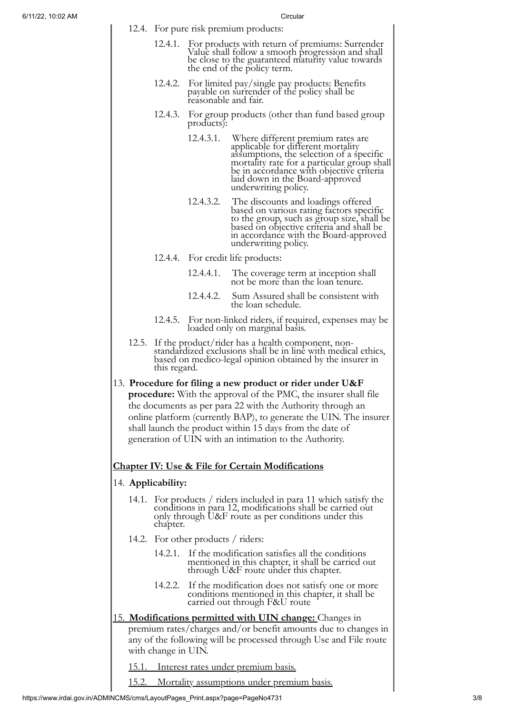|                                                                                                                                                                                                                                                                                                                                                                                              |                                                                                                                                                                                                | Circular                                                                                                                                                                                 |                                                                                                                                                                                                                                                                           |  |  |  |  |
|----------------------------------------------------------------------------------------------------------------------------------------------------------------------------------------------------------------------------------------------------------------------------------------------------------------------------------------------------------------------------------------------|------------------------------------------------------------------------------------------------------------------------------------------------------------------------------------------------|------------------------------------------------------------------------------------------------------------------------------------------------------------------------------------------|---------------------------------------------------------------------------------------------------------------------------------------------------------------------------------------------------------------------------------------------------------------------------|--|--|--|--|
|                                                                                                                                                                                                                                                                                                                                                                                              | 12.4. For pure risk premium products:                                                                                                                                                          |                                                                                                                                                                                          |                                                                                                                                                                                                                                                                           |  |  |  |  |
|                                                                                                                                                                                                                                                                                                                                                                                              | 12.4.1.                                                                                                                                                                                        | For products with return of premiums: Surrender<br>Value shall follow a smooth progression and shall<br>be close to the guaranteed maturity value towards<br>the end of the policy term. |                                                                                                                                                                                                                                                                           |  |  |  |  |
|                                                                                                                                                                                                                                                                                                                                                                                              | 12.4.2.                                                                                                                                                                                        | For limited pay/single pay products: Benefits<br>payable on surrender of the policy shall be<br>reasonable and fair.                                                                     |                                                                                                                                                                                                                                                                           |  |  |  |  |
|                                                                                                                                                                                                                                                                                                                                                                                              | 12.4.3.                                                                                                                                                                                        | For group products (other than fund based group<br>products):                                                                                                                            |                                                                                                                                                                                                                                                                           |  |  |  |  |
|                                                                                                                                                                                                                                                                                                                                                                                              |                                                                                                                                                                                                | 12.4.3.1.                                                                                                                                                                                | Where different premium rates are<br>applicable for different mortality<br>assumptions, the selection of a specific<br>mortality rate for a particular group shall<br>be in accordance with objective criteria<br>laid down in the Board-approved<br>underwriting policy. |  |  |  |  |
|                                                                                                                                                                                                                                                                                                                                                                                              |                                                                                                                                                                                                | 12.4.3.2.                                                                                                                                                                                | The discounts and loadings offered<br>based on various rating factors specific<br>to the group, such as group size, shall be<br>based on objective criteria and shall be<br>in accordance with the Board-approved<br>underwriting policy.                                 |  |  |  |  |
|                                                                                                                                                                                                                                                                                                                                                                                              | 12.4.4.                                                                                                                                                                                        |                                                                                                                                                                                          | For credit life products:                                                                                                                                                                                                                                                 |  |  |  |  |
|                                                                                                                                                                                                                                                                                                                                                                                              |                                                                                                                                                                                                | 12.4.4.1.                                                                                                                                                                                | The coverage term at inception shall<br>not be more than the loan tenure.                                                                                                                                                                                                 |  |  |  |  |
|                                                                                                                                                                                                                                                                                                                                                                                              |                                                                                                                                                                                                |                                                                                                                                                                                          | 12.4.4.2. Sum Assured shall be consistent with<br>the loan schedule.                                                                                                                                                                                                      |  |  |  |  |
|                                                                                                                                                                                                                                                                                                                                                                                              | 12.4.5.                                                                                                                                                                                        |                                                                                                                                                                                          | For non-linked riders, if required, expenses may be<br>loaded only on marginal basis.                                                                                                                                                                                     |  |  |  |  |
| 12.5.                                                                                                                                                                                                                                                                                                                                                                                        | If the product/rider has a health component, non-<br>standardized exclusions shall be in line with medical ethics,<br>based on medico-legal opinion obtained by the insurer in<br>this regard. |                                                                                                                                                                                          |                                                                                                                                                                                                                                                                           |  |  |  |  |
| 13. Procedure for filing a new product or rider under U&F<br><b>procedure:</b> With the approval of the PMC, the insurer shall file<br>the documents as per para 22 with the Authority through an<br>online platform (currently BAP), to generate the UIN. The insurer<br>shall launch the product within 15 days from the date of<br>generation of UIN with an intimation to the Authority. |                                                                                                                                                                                                |                                                                                                                                                                                          |                                                                                                                                                                                                                                                                           |  |  |  |  |
|                                                                                                                                                                                                                                                                                                                                                                                              |                                                                                                                                                                                                |                                                                                                                                                                                          | <b>Chapter IV: Use &amp; File for Certain Modifications</b>                                                                                                                                                                                                               |  |  |  |  |
|                                                                                                                                                                                                                                                                                                                                                                                              | 14. Applicability:                                                                                                                                                                             |                                                                                                                                                                                          |                                                                                                                                                                                                                                                                           |  |  |  |  |
| For products / riders included in para 11 which satisfy the<br>14.1.<br>conditions in para 12, modifications shall be carried out<br>only through U&F route as per conditions under this<br>chapter.                                                                                                                                                                                         |                                                                                                                                                                                                |                                                                                                                                                                                          |                                                                                                                                                                                                                                                                           |  |  |  |  |
| 14.2. For other products / riders:                                                                                                                                                                                                                                                                                                                                                           |                                                                                                                                                                                                |                                                                                                                                                                                          |                                                                                                                                                                                                                                                                           |  |  |  |  |
|                                                                                                                                                                                                                                                                                                                                                                                              | 14.2.1.                                                                                                                                                                                        |                                                                                                                                                                                          | If the modification satisfies all the conditions<br>mentioned in this chapter, it shall be carried out<br>through U&F route under this chapter.                                                                                                                           |  |  |  |  |
|                                                                                                                                                                                                                                                                                                                                                                                              | 14.2.2.                                                                                                                                                                                        |                                                                                                                                                                                          | If the modification does not satisfy one or more<br>conditions mentioned in this chapter, it shall be<br>carried out through F&U route                                                                                                                                    |  |  |  |  |
|                                                                                                                                                                                                                                                                                                                                                                                              |                                                                                                                                                                                                |                                                                                                                                                                                          | 15. Modifications permitted with UIN change: Changes in                                                                                                                                                                                                                   |  |  |  |  |
| premium rates/charges and/or benefit amounts due to changes in<br>any of the following will be processed through Use and File route<br>with change in UIN.                                                                                                                                                                                                                                   |                                                                                                                                                                                                |                                                                                                                                                                                          |                                                                                                                                                                                                                                                                           |  |  |  |  |
| <u>15.1. Interest rates under premium basis.</u>                                                                                                                                                                                                                                                                                                                                             |                                                                                                                                                                                                |                                                                                                                                                                                          |                                                                                                                                                                                                                                                                           |  |  |  |  |

https://www.irdai.gov.in/ADMINCMS/cms/LayoutPages\_Print.aspx?page=PageNo4731 3/8

15.2. Mortality assumptions under premium basis.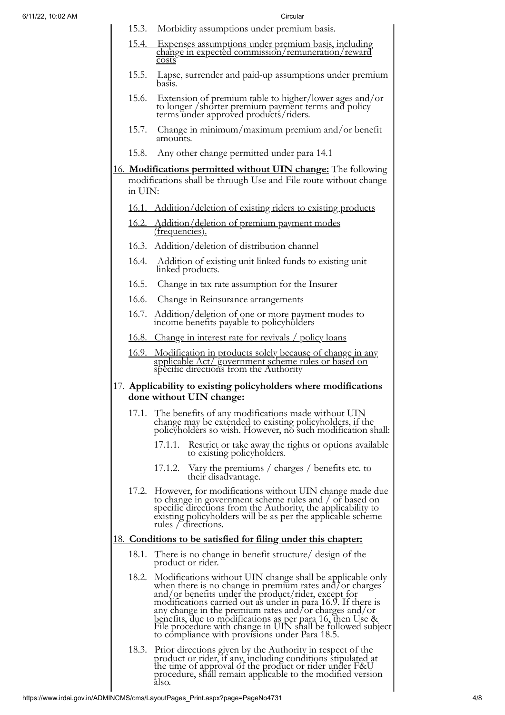- 15.3. Morbidity assumptions under premium basis.
- 15.4. Expenses assumptions under premium basis, including change in expected commission/remuneration/reward costs
- 15.5. Lapse, surrender and paid-up assumptions under premium basis.
- 15.6. Extension of premium table to higher/lower ages and/or to longer /shorter premium payment terms and policy terms under approved products/riders.
- 15.7. Change in minimum/maximum premium and/or benefit amounts.
- 15.8. Any other change permitted under para 14.1
- 16. **Modifications permitted without UIN change:** The following modifications shall be through Use and File route without change in UIN:
	- 16.1. Addition/deletion of existing riders to existing products
	- 16.2. Addition/deletion of premium payment modes (frequencies).
	- 16.3. Addition/deletion of distribution channel
	- 16.4. Addition of existing unit linked funds to existing unit linked products.
	- 16.5. Change in tax rate assumption for the Insurer
	- 16.6. Change in Reinsurance arrangements
	- 16.7. Addition/deletion of one or more payment modes to income benefits payable to policyholders
	- 16.8. Change in interest rate for revivals / policy loans
	- 16.9. Modification in products solely because of change in any applicable Act/ government scheme rules or based on specific directions from the Authority

# 17. **Applicability to existing policyholders where modifications done without UIN change:**

- 17.1. The benefits of any modifications made without UIN change may be extended to existing policyholders, if the policyholders so wish. However, no such modification shall:
	- 17.1.1. Restrict or take away the rights or options available to existing policyholders.
	- 17.1.2. Vary the premiums / charges / benefits etc. to their disadvantage.
- 17.2. However, for modifications without UIN change made due to change in government scheme rules and / or based on specific directions from the Authority, the applicability to existing policyholders will be as per the applicable scheme rules / directions.

# 18. **Conditions to be satisfied for filing under this chapter:**

- 18.1. There is no change in benefit structure/ design of the product or rider.
- 18.2. Modifications without UIN change shall be applicable only when there is no change in premium rates and/or charges and/or benefits under the product/rider, except for modifications carried out as under in para 16.9. If there is any change in the premium rates and/or charges and/or benefits, due to modifications as per para 16, then Use & File procedure with change in UIN shall be followed subject to compliance with provisions under Para 18.5.
- 18.3. Prior directions given by the Authority in respect of the product or rider, if any, including conditions stipulated at the time of approval of the product or rider under F&U procedure, shall remain applicable to the modified version also.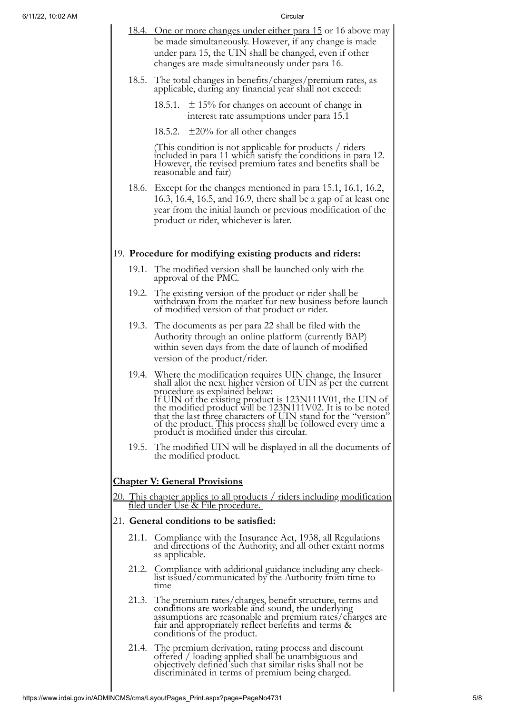| 6/11/22, 10:02 AM |                                      | Circular                                                                                                                                                                                                                                                                                                                                                                                                                                                              |  |  |  |
|-------------------|--------------------------------------|-----------------------------------------------------------------------------------------------------------------------------------------------------------------------------------------------------------------------------------------------------------------------------------------------------------------------------------------------------------------------------------------------------------------------------------------------------------------------|--|--|--|
|                   |                                      | <u>18.4. One or more changes under either para 15</u> or 16 above may<br>be made simultaneously. However, if any change is made<br>under para 15, the UIN shall be changed, even if other<br>changes are made simultaneously under para 16.                                                                                                                                                                                                                           |  |  |  |
|                   | 18.5.                                | The total changes in benefits/charges/premium rates, as<br>applicable, during any financial year shall not exceed:                                                                                                                                                                                                                                                                                                                                                    |  |  |  |
|                   |                                      | 18.5.1. $\pm$ 15% for changes on account of change in<br>interest rate assumptions under para 15.1                                                                                                                                                                                                                                                                                                                                                                    |  |  |  |
|                   |                                      | 18.5.2. $\pm 20\%$ for all other changes                                                                                                                                                                                                                                                                                                                                                                                                                              |  |  |  |
|                   |                                      | (This condition is not applicable for products / riders)<br>included in para 11 which satisfy the conditions in para 12.<br>However, the revised premium rates and benefits shall be<br>reasonable and fair)                                                                                                                                                                                                                                                          |  |  |  |
|                   |                                      | 18.6. Except for the changes mentioned in para 15.1, 16.1, 16.2,<br>16.3, 16.4, 16.5, and 16.9, there shall be a gap of at least one<br>year from the initial launch or previous modification of the<br>product or rider, whichever is later.                                                                                                                                                                                                                         |  |  |  |
|                   |                                      | 19. Procedure for modifying existing products and riders:                                                                                                                                                                                                                                                                                                                                                                                                             |  |  |  |
|                   |                                      | 19.1. The modified version shall be launched only with the<br>approval of the PMC.                                                                                                                                                                                                                                                                                                                                                                                    |  |  |  |
|                   |                                      | 19.2. The existing version of the product or rider shall be<br>withdrawn from the market for new business before launch<br>of modified version of that product or rider.                                                                                                                                                                                                                                                                                              |  |  |  |
|                   |                                      | 19.3. The documents as per para 22 shall be filed with the<br>Authority through an online platform (currently BAP)<br>within seven days from the date of launch of modified<br>version of the product/rider.                                                                                                                                                                                                                                                          |  |  |  |
|                   |                                      | 19.4. Where the modification requires UIN change, the Insurer<br>shall allot the next higher version of UIN as per the current<br>procedure as explained below:<br>If UIN of the existing product is 123N111V01, the UIN of<br>the modified product will be 123N111V02. It is to be noted<br>that the last three characters of UIN stand for the "version"<br>of the product. This process shall be followed every time a<br>product is modified under this circular. |  |  |  |
|                   |                                      | 19.5. The modified UIN will be displayed in all the documents of<br>the modified product.                                                                                                                                                                                                                                                                                                                                                                             |  |  |  |
|                   | <b>Chapter V: General Provisions</b> |                                                                                                                                                                                                                                                                                                                                                                                                                                                                       |  |  |  |
|                   |                                      | <u>20. This chapter applies to all products / riders including modification</u>                                                                                                                                                                                                                                                                                                                                                                                       |  |  |  |
|                   |                                      | <u>filed under Use &amp; File procedure.</u>                                                                                                                                                                                                                                                                                                                                                                                                                          |  |  |  |
|                   |                                      | 21. General conditions to be satisfied:                                                                                                                                                                                                                                                                                                                                                                                                                               |  |  |  |
|                   | 21.1.                                | Compliance with the Insurance Act, 1938, all Regulations<br>and directions of the Authority, and all other extant norms<br>as applicable.                                                                                                                                                                                                                                                                                                                             |  |  |  |
|                   | 21.2.                                | Compliance with additional guidance including any check-<br>list issued/communicated by the Authority from time to<br>time                                                                                                                                                                                                                                                                                                                                            |  |  |  |
|                   |                                      | 21.3. The premium rates/charges, benefit structure, terms and<br>conditions are workable and sound, the underlying<br>assumptions are reasonable and premium rates/charges are<br>fair and appropriately reflect benefits and terms &<br>conditions of the product.                                                                                                                                                                                                   |  |  |  |
|                   |                                      | 21.4. The premium derivation, rating process and discount<br>offered / loading applied shall be unambiguous and<br>objectively defined such that similar risks shall not be<br>discriminated in terms of premium being charged.                                                                                                                                                                                                                                       |  |  |  |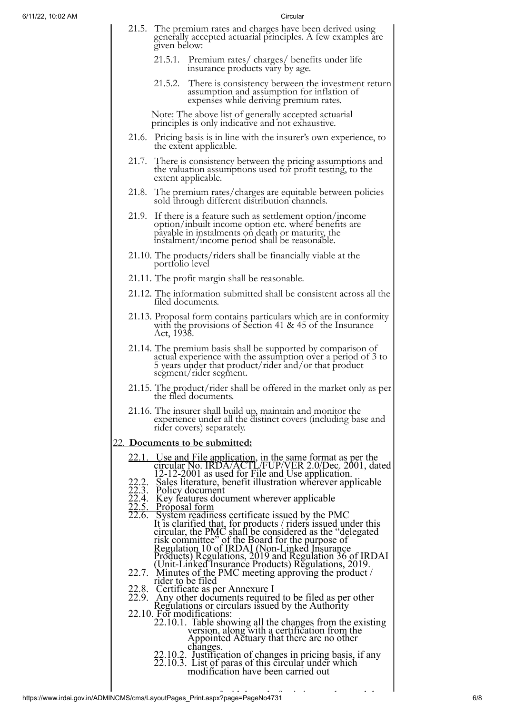- 21.5. The premium rates and charges have been derived using generally accepted actuarial principles. A few examples are given below:
	- 21.5.1. Premium rates/ charges/ benefits under life insurance products vary by age.
	- 21.5.2. There is consistency between the investment return assumption and assumption for inflation of expenses while deriving premium rates.

Note: The above list of generally accepted actuarial principles is only indicative and not exhaustive.

- 21.6. Pricing basis is in line with the insurer's own experience, to the extent applicable.
- 21.7. There is consistency between the pricing assumptions and the valuation assumptions used for profit testing, to the extent applicable.
- 21.8. The premium rates/charges are equitable between policies sold through different distribution channels.
- 21.9. If there is a feature such as settlement option/income option/inbuilt income option etc. where benefits are payable in instalments on death or maturity, the instalment/income period shall be reasonable.
- 21.10. The products/riders shall be financially viable at the portfolio level
- 21.11. The profit margin shall be reasonable.
- 21.12. The information submitted shall be consistent across all the filed documents.
- 21.13. Proposal form contains particulars which are in conformity with the provisions of Section 41 & 45 of the Insurance Act, 1938.
- 21.14. The premium basis shall be supported by comparison of actual experience with the assumption over a period of 3 to 5 years under that product/rider and/or that product segment/rider segment.
- 21.15. The product/rider shall be offered in the market only as per the filed documents.
- 21.16. The insurer shall build up, maintain and monitor the experience under all the distinct covers (including base and rider covers) separately.

### 22. **Documents to be submitted:**

- 22.1. Use and File application, in the same format as per the circular No. IRDA/ACTL/FUP/VER 2.0/Dec. 2001, dated 12-12-2001 as used for File and Use application.
- 22.2. Sales literature, benefit illustration wherever applicable
- 22.3. Policy document
- 22.4. Key features document wherever applicable
- 22.5. Proposal form
- 22.6. System readiness certificate issued by the PMC It is clarified that, for products / riders issued under this circular, the PMC shall be considered as the "delegated risk committee" of the Board for the purpose of Regulation 10 of IRDAI (Non-Linked Insurance Products) Regulations, 2019 and Regulation 36 of IRDAI (Unit-Linked Insurance Products) Regulations, 2019.
- 22.7. Minutes of the PMC meeting approving the product  $\ell$
- rider to be filed
- 22.8. Certificate as per Annexure I<br>22.9. Anv other documents require
- 22.9. Any other documents required to be filed as per other Regulations or circulars issued by the Authority
- 22.10. For modifications:
	- 22.10.1. Table showing all the changes from the existing version, along with a certification from the Appointed Actuary that there are no other changes.
	- 22.10.2. Justification of changes in pricing basis, if any
	- 22.10.3. List of paras of this circular under which
		- modification have been carried out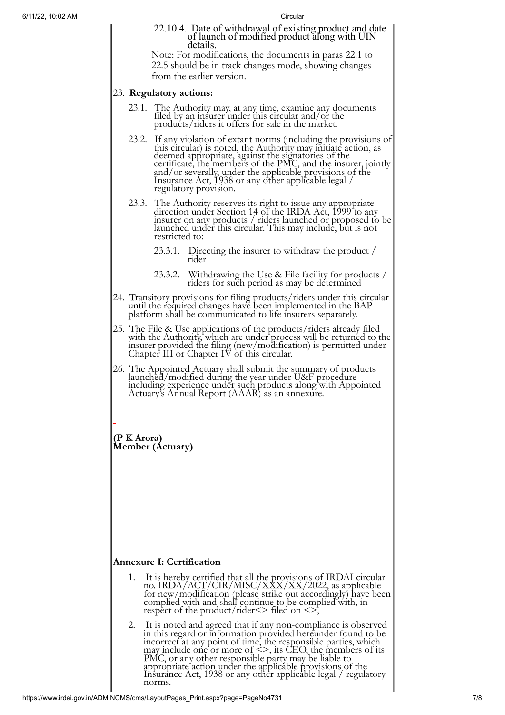22.10.4. Date of withdrawal of existing product and date of launch of modified product along with UIN details. Note: For modifications, the documents in paras 22.1 to

22.5 should be in track changes mode, showing changes from the earlier version.

# 23. **Regulatory actions:**

- 23.1. The Authority may, at any time, examine any documents filed by an insurer under this circular and/or the products/riders it offers for sale in the market.
- 23.2. If any violation of extant norms (including the provisions of this circular) is noted, the Authority may initiate action, as deemed appropriate, against the signatories of the certificate, the members of the PMC, and the insurer, jointly and/or severally, under the applicable provisions of the Insurance Act, 1938 or any other applicable legal / regulatory provision.
- 23.3. The Authority reserves its right to issue any appropriate direction under Section 14 of the IRDA Act, 1999 to any insurer on any products / riders launched or proposed to be launched under this circular. This may include, but is not restricted to:
	- 23.3.1. Directing the insurer to withdraw the product / rider
	- 23.3.2. Withdrawing the Use & File facility for products / riders for such period as may be determined
- 24. Transitory provisions for filing products/riders under this circular until the required changes have been implemented in the BAP platform shall be communicated to life insurers separately.
- 25. The File & Use applications of the products/riders already filed with the Authority, which are under process will be returned to the insurer provided the filing (new/modification) is permitted under Chapter III or Chapter IV of this circular.
- 26. The Appointed Actuary shall submit the summary of products launched/modified during the year under U&F procedure including experience under such products along with Appointed Actuary's Annual Report (AAAR) as an annexure.

**(P K Arora) Member (Actuary)**

# **Annexure I: Certification**

- 1. It is hereby certified that all the provisions of IRDAI circular no. IRDA/ACT/CIR/MISC/XXX/XX/2022, as applicable for new/modification (please strike out accordingly) have been complied with and shall continue to be complied with, in respect of the product/rider $\le$  filed on  $\le$ ,
- 2. It is noted and agreed that if any non-compliance is observed in this regard or information provided hereunder found to be incorrect at any point of time, the responsible parties, which may include one or more of  $\leq$ >, its CEO, the members of its PMC, or any other responsible party may be liable to appropriate action under the applicable provisions of the Insurance Act, 1938 or any other applicable legal / regulatory norms.